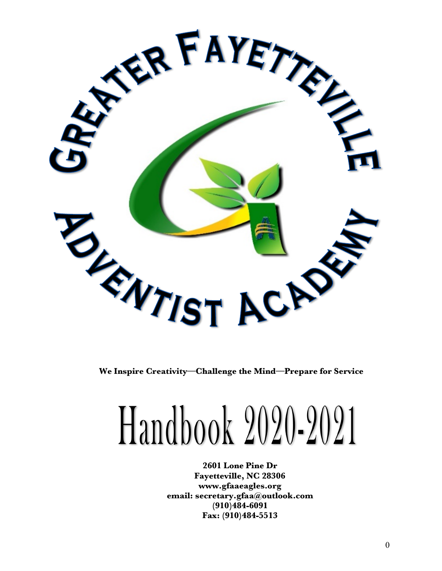

**We Inspire Creativity—Challenge the Mind—Prepare for Service**

# Handbook 2020-2021

**2601 Lone Pine Dr Fayetteville, NC 28306 www.gfaaeagles.org email: secretary.gfaa@outlook.com (910)484-6091 Fax: (910)484-5513**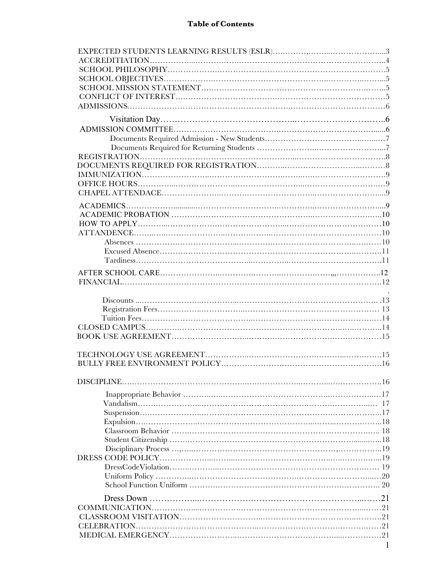## **Table of Contents**

| ACCREDITIATION |
|----------------|
|                |
|                |
|                |
|                |
|                |
|                |
|                |
|                |
|                |
|                |
|                |
|                |
|                |
|                |
|                |
|                |
|                |
|                |
|                |
|                |
|                |
|                |
|                |
|                |
|                |
|                |
|                |
|                |
|                |
|                |
|                |
|                |
|                |
|                |
|                |
|                |
|                |
|                |
|                |
|                |
|                |
|                |
|                |
|                |
|                |
|                |
|                |
|                |
|                |
|                |
|                |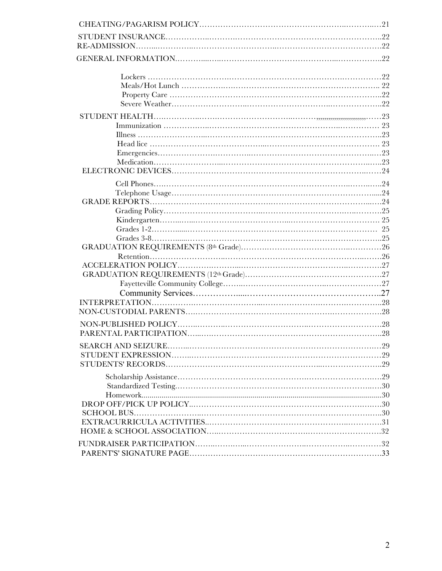| . 23 |
|------|
|      |
|      |
|      |
|      |
|      |
|      |
|      |
|      |
|      |
|      |
|      |
|      |
|      |
|      |
|      |
|      |
|      |
|      |
|      |
|      |
|      |
|      |
|      |
|      |
|      |
|      |
|      |
|      |
|      |
|      |
|      |
|      |
|      |
|      |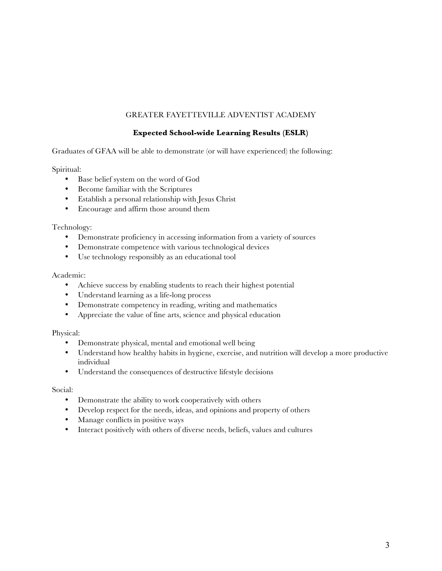## GREATER FAYETTEVILLE ADVENTIST ACADEMY

## **Expected School-wide Learning Results (ESLR)**

Graduates of GFAA will be able to demonstrate (or will have experienced) the following:

Spiritual:

- Base belief system on the word of God
- Become familiar with the Scriptures
- Establish a personal relationship with Jesus Christ
- Encourage and affirm those around them

#### Technology:

- Demonstrate proficiency in accessing information from a variety of sources
- Demonstrate competence with various technological devices
- Use technology responsibly as an educational tool

#### Academic:

- Achieve success by enabling students to reach their highest potential
- Understand learning as a life-long process
- Demonstrate competency in reading, writing and mathematics
- Appreciate the value of fine arts, science and physical education

Physical:

- Demonstrate physical, mental and emotional well being
- Understand how healthy habits in hygiene, exercise, and nutrition will develop a more productive individual
- Understand the consequences of destructive lifestyle decisions

Social:

- Demonstrate the ability to work cooperatively with others
- Develop respect for the needs, ideas, and opinions and property of others
- Manage conflicts in positive ways
- Interact positively with others of diverse needs, beliefs, values and cultures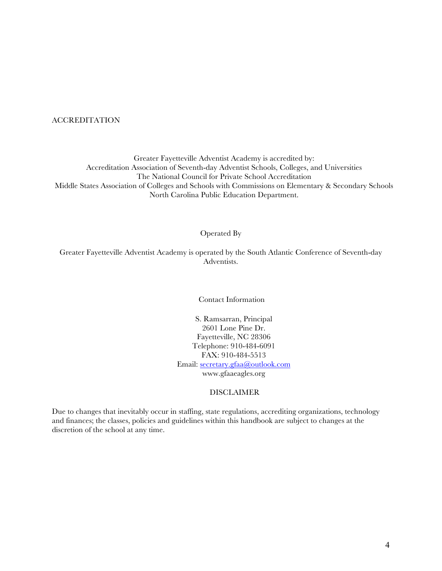ACCREDITATION

Greater Fayetteville Adventist Academy is accredited by: Accreditation Association of Seventh-day Adventist Schools, Colleges, and Universities The National Council for Private School Accreditation Middle States Association of Colleges and Schools with Commissions on Elementary & Secondary Schools North Carolina Public Education Department.

#### Operated By

Greater Fayetteville Adventist Academy is operated by the South Atlantic Conference of Seventh-day Adventists.

Contact Information

S. Ramsarran, Principal 2601 Lone Pine Dr. Fayetteville, NC 28306 Telephone: 910-484-6091 FAX: 910-484-5513 Email: secretary.gfaa@outlook.com www.gfaaeagles.org

#### DISCLAIMER

Due to changes that inevitably occur in staffing, state regulations, accrediting organizations, technology and finances; the classes, policies and guidelines within this handbook are subject to changes at the discretion of the school at any time.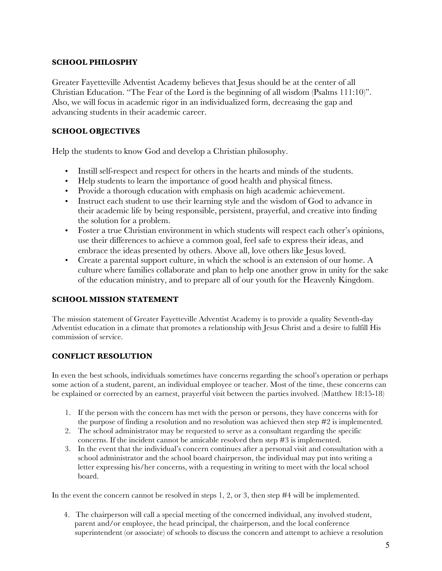## **SCHOOL PHILOSPHY**

Greater Fayetteville Adventist Academy believes that Jesus should be at the center of all Christian Education. "The Fear of the Lord is the beginning of all wisdom (Psalms 111:10)". Also, we will focus in academic rigor in an individualized form, decreasing the gap and advancing students in their academic career.

# **SCHOOL OBJECTIVES**

Help the students to know God and develop a Christian philosophy.

- Instill self-respect and respect for others in the hearts and minds of the students.
- Help students to learn the importance of good health and physical fitness.
- Provide a thorough education with emphasis on high academic achievement.
- Instruct each student to use their learning style and the wisdom of God to advance in their academic life by being responsible, persistent, prayerful, and creative into finding the solution for a problem.
- Foster a true Christian environment in which students will respect each other's opinions, use their differences to achieve a common goal, feel safe to express their ideas, and embrace the ideas presented by others. Above all, love others like Jesus loved.
- Create a parental support culture, in which the school is an extension of our home. A culture where families collaborate and plan to help one another grow in unity for the sake of the education ministry, and to prepare all of our youth for the Heavenly Kingdom.

## **SCHOOL MISSION STATEMENT**

The mission statement of Greater Fayetteville Adventist Academy is to provide a quality Seventh-day Adventist education in a climate that promotes a relationship with Jesus Christ and a desire to fulfill His commission of service.

# **CONFLICT RESOLUTION**

In even the best schools, individuals sometimes have concerns regarding the school's operation or perhaps some action of a student, parent, an individual employee or teacher. Most of the time, these concerns can be explained or corrected by an earnest, prayerful visit between the parties involved. (Matthew 18:15-18)

- 1. If the person with the concern has met with the person or persons, they have concerns with for the purpose of finding a resolution and no resolution was achieved then step #2 is implemented.
- 2. The school administrator may be requested to serve as a consultant regarding the specific concerns. If the incident cannot be amicable resolved then step #3 is implemented.
- 3. In the event that the individual's concern continues after a personal visit and consultation with a school administrator and the school board chairperson, the individual may put into writing a letter expressing his/her concerns, with a requesting in writing to meet with the local school board.

In the event the concern cannot be resolved in steps 1, 2, or 3, then step #4 will be implemented.

 4. The chairperson will call a special meeting of the concerned individual, any involved student, parent and/or employee, the head principal, the chairperson, and the local conference superintendent (or associate) of schools to discuss the concern and attempt to achieve a resolution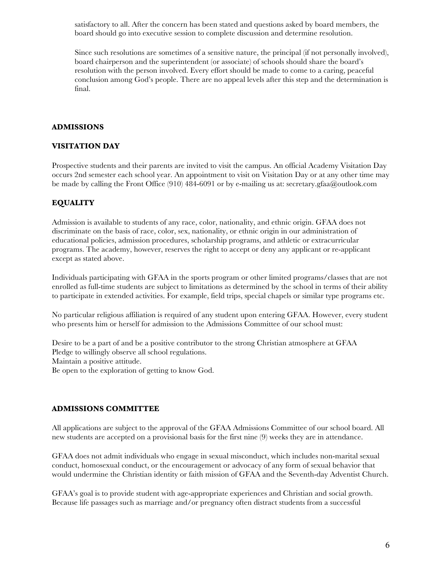satisfactory to all. After the concern has been stated and questions asked by board members, the board should go into executive session to complete discussion and determine resolution.

Since such resolutions are sometimes of a sensitive nature, the principal (if not personally involved), board chairperson and the superintendent (or associate) of schools should share the board's resolution with the person involved. Every effort should be made to come to a caring, peaceful conclusion among God's people. There are no appeal levels after this step and the determination is final.

## **ADMISSIONS**

#### **VISITATION DAY**

Prospective students and their parents are invited to visit the campus. An official Academy Visitation Day occurs 2nd semester each school year. An appointment to visit on Visitation Day or at any other time may be made by calling the Front Office (910) 484-6091 or by e-mailing us at: secretary.gfaa@outlook.com

#### **EQUALITY**

Admission is available to students of any race, color, nationality, and ethnic origin. GFAA does not discriminate on the basis of race, color, sex, nationality, or ethnic origin in our administration of educational policies, admission procedures, scholarship programs, and athletic or extracurricular programs. The academy, however, reserves the right to accept or deny any applicant or re-applicant except as stated above.

Individuals participating with GFAA in the sports program or other limited programs/classes that are not enrolled as full-time students are subject to limitations as determined by the school in terms of their ability to participate in extended activities. For example, field trips, special chapels or similar type programs etc.

No particular religious affiliation is required of any student upon entering GFAA. However, every student who presents him or herself for admission to the Admissions Committee of our school must:

Desire to be a part of and be a positive contributor to the strong Christian atmosphere at GFAA Pledge to willingly observe all school regulations. Maintain a positive attitude. Be open to the exploration of getting to know God.

#### **ADMISSIONS COMMITTEE**

All applications are subject to the approval of the GFAA Admissions Committee of our school board. All new students are accepted on a provisional basis for the first nine (9) weeks they are in attendance.

GFAA does not admit individuals who engage in sexual misconduct, which includes non-marital sexual conduct, homosexual conduct, or the encouragement or advocacy of any form of sexual behavior that would undermine the Christian identity or faith mission of GFAA and the Seventh-day Adventist Church.

GFAA's goal is to provide student with age-appropriate experiences and Christian and social growth. Because life passages such as marriage and/or pregnancy often distract students from a successful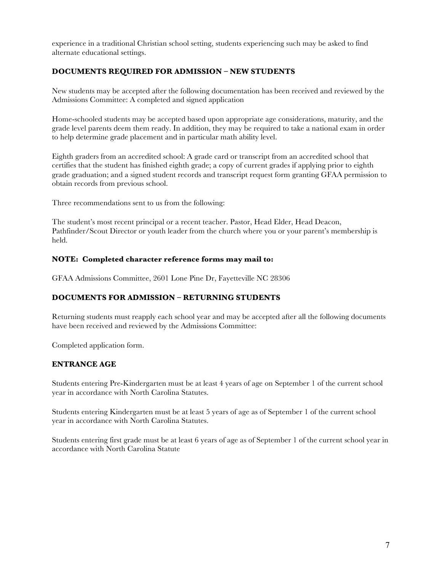experience in a traditional Christian school setting, students experiencing such may be asked to find alternate educational settings.

## **DOCUMENTS REQUIRED FOR ADMISSION – NEW STUDENTS**

New students may be accepted after the following documentation has been received and reviewed by the Admissions Committee: A completed and signed application

Home-schooled students may be accepted based upon appropriate age considerations, maturity, and the grade level parents deem them ready. In addition, they may be required to take a national exam in order to help determine grade placement and in particular math ability level.

Eighth graders from an accredited school: A grade card or transcript from an accredited school that certifies that the student has finished eighth grade; a copy of current grades if applying prior to eighth grade graduation; and a signed student records and transcript request form granting GFAA permission to obtain records from previous school.

Three recommendations sent to us from the following:

The student's most recent principal or a recent teacher. Pastor, Head Elder, Head Deacon, Pathfinder/Scout Director or youth leader from the church where you or your parent's membership is held.

#### **NOTE: Completed character reference forms may mail to:**

GFAA Admissions Committee, 2601 Lone Pine Dr, Fayetteville NC 28306

#### **DOCUMENTS FOR ADMISSION – RETURNING STUDENTS**

Returning students must reapply each school year and may be accepted after all the following documents have been received and reviewed by the Admissions Committee:

Completed application form.

#### **ENTRANCE AGE**

Students entering Pre-Kindergarten must be at least 4 years of age on September 1 of the current school year in accordance with North Carolina Statutes.

Students entering Kindergarten must be at least 5 years of age as of September 1 of the current school year in accordance with North Carolina Statutes.

Students entering first grade must be at least 6 years of age as of September 1 of the current school year in accordance with North Carolina Statute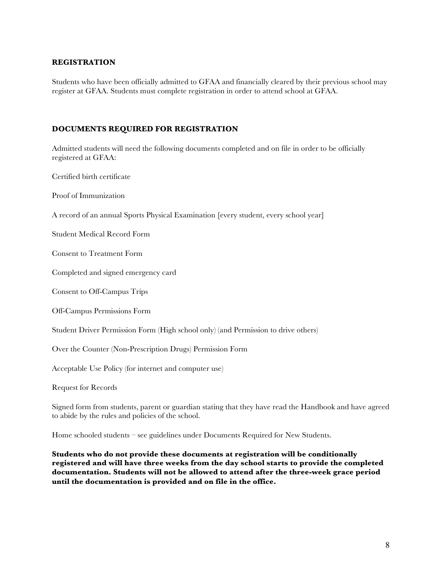### **REGISTRATION**

Students who have been officially admitted to GFAA and financially cleared by their previous school may register at GFAA. Students must complete registration in order to attend school at GFAA.

### **DOCUMENTS REQUIRED FOR REGISTRATION**

Admitted students will need the following documents completed and on file in order to be officially registered at GFAA:

Certified birth certificate

Proof of Immunization

A record of an annual Sports Physical Examination [every student, every school year]

Student Medical Record Form

Consent to Treatment Form

Completed and signed emergency card

Consent to Off-Campus Trips

Off-Campus Permissions Form

Student Driver Permission Form (High school only) (and Permission to drive others)

Over the Counter (Non-Prescription Drugs) Permission Form

Acceptable Use Policy (for internet and computer use)

Request for Records

Signed form from students, parent or guardian stating that they have read the Handbook and have agreed to abide by the rules and policies of the school.

Home schooled students – see guidelines under Documents Required for New Students.

**Students who do not provide these documents at registration will be conditionally registered and will have three weeks from the day school starts to provide the completed documentation. Students will not be allowed to attend after the three-week grace period until the documentation is provided and on file in the office.**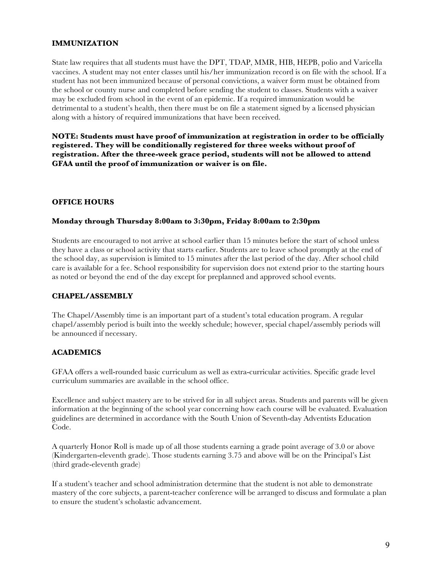## **IMMUNIZATION**

State law requires that all students must have the DPT, TDAP, MMR, HIB, HEPB, polio and Varicella vaccines. A student may not enter classes until his/her immunization record is on file with the school. If a student has not been immunized because of personal convictions, a waiver form must be obtained from the school or county nurse and completed before sending the student to classes. Students with a waiver may be excluded from school in the event of an epidemic. If a required immunization would be detrimental to a student's health, then there must be on file a statement signed by a licensed physician along with a history of required immunizations that have been received.

**NOTE: Students must have proof of immunization at registration in order to be officially registered. They will be conditionally registered for three weeks without proof of registration. After the three-week grace period, students will not be allowed to attend GFAA until the proof of immunization or waiver is on file.**

#### **OFFICE HOURS**

#### **Monday through Thursday 8:00am to 3:30pm, Friday 8:00am to 2:30pm**

Students are encouraged to not arrive at school earlier than 15 minutes before the start of school unless they have a class or school activity that starts earlier. Students are to leave school promptly at the end of the school day, as supervision is limited to 15 minutes after the last period of the day. After school child care is available for a fee. School responsibility for supervision does not extend prior to the starting hours as noted or beyond the end of the day except for preplanned and approved school events.

#### **CHAPEL/ASSEMBLY**

The Chapel/Assembly time is an important part of a student's total education program. A regular chapel/assembly period is built into the weekly schedule; however, special chapel/assembly periods will be announced if necessary.

#### **ACADEMICS**

GFAA offers a well-rounded basic curriculum as well as extra-curricular activities. Specific grade level curriculum summaries are available in the school office.

Excellence and subject mastery are to be strived for in all subject areas. Students and parents will be given information at the beginning of the school year concerning how each course will be evaluated. Evaluation guidelines are determined in accordance with the South Union of Seventh-day Adventists Education Code.

A quarterly Honor Roll is made up of all those students earning a grade point average of 3.0 or above (Kindergarten-eleventh grade). Those students earning 3.75 and above will be on the Principal's List (third grade-eleventh grade)

If a student's teacher and school administration determine that the student is not able to demonstrate mastery of the core subjects, a parent-teacher conference will be arranged to discuss and formulate a plan to ensure the student's scholastic advancement.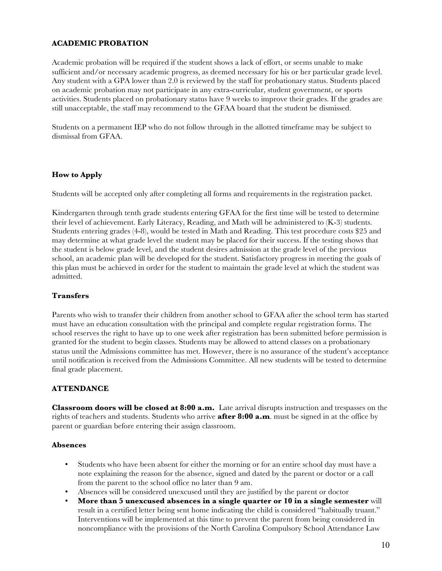## **ACADEMIC PROBATION**

Academic probation will be required if the student shows a lack of effort, or seems unable to make sufficient and/or necessary academic progress, as deemed necessary for his or her particular grade level. Any student with a GPA lower than 2.0 is reviewed by the staff for probationary status. Students placed on academic probation may not participate in any extra-curricular, student government, or sports activities. Students placed on probationary status have 9 weeks to improve their grades. If the grades are still unacceptable, the staff may recommend to the GFAA board that the student be dismissed.

Students on a permanent IEP who do not follow through in the allotted timeframe may be subject to dismissal from GFAA.

#### **How to Apply**

Students will be accepted only after completing all forms and requirements in the registration packet.

Kindergarten through tenth grade students entering GFAA for the first time will be tested to determine their level of achievement. Early Literacy, Reading, and Math will be administered to (K-3) students. Students entering grades (4-8), would be tested in Math and Reading. This test procedure costs \$25 and may determine at what grade level the student may be placed for their success. If the testing shows that the student is below grade level, and the student desires admission at the grade level of the previous school, an academic plan will be developed for the student. Satisfactory progress in meeting the goals of this plan must be achieved in order for the student to maintain the grade level at which the student was admitted.

#### **Transfers**

Parents who wish to transfer their children from another school to GFAA after the school term has started must have an education consultation with the principal and complete regular registration forms. The school reserves the right to have up to one week after registration has been submitted before permission is granted for the student to begin classes. Students may be allowed to attend classes on a probationary status until the Admissions committee has met. However, there is no assurance of the student's acceptance until notification is received from the Admissions Committee. All new students will be tested to determine final grade placement.

#### **ATTENDANCE**

**Classroom doors will be closed at 8:00 a.m.** Late arrival disrupts instruction and trespasses on the rights of teachers and students. Students who arrive **after 8:00 a.m**. must be signed in at the office by parent or guardian before entering their assign classroom.

#### **Absences**

- Students who have been absent for either the morning or for an entire school day must have a note explaining the reason for the absence, signed and dated by the parent or doctor or a call from the parent to the school office no later than 9 am.
- Absences will be considered unexcused until they are justified by the parent or doctor
- **More than 5 unexcused absences in a single quarter or 10 in a single semester** will result in a certified letter being sent home indicating the child is considered "habitually truant." Interventions will be implemented at this time to prevent the parent from being considered in noncompliance with the provisions of the North Carolina Compulsory School Attendance Law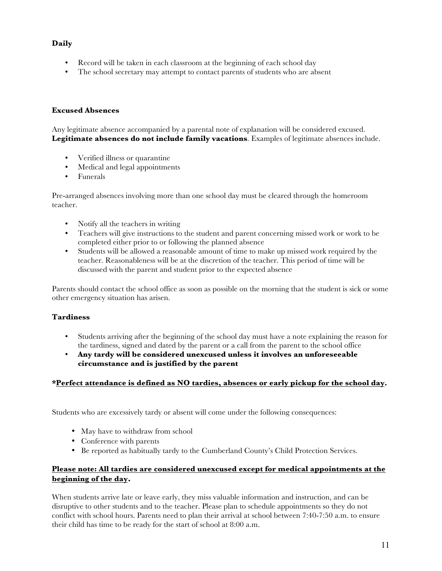# **Daily**

- Record will be taken in each classroom at the beginning of each school day
- The school secretary may attempt to contact parents of students who are absent

#### **Excused Absences**

Any legitimate absence accompanied by a parental note of explanation will be considered excused. **Legitimate absences do not include family vacations**. Examples of legitimate absences include.

- Verified illness or quarantine
- Medical and legal appointments
- Funerals

Pre-arranged absences involving more than one school day must be cleared through the homeroom teacher.

- Notify all the teachers in writing
- Teachers will give instructions to the student and parent concerning missed work or work to be completed either prior to or following the planned absence
- Students will be allowed a reasonable amount of time to make up missed work required by the teacher. Reasonableness will be at the discretion of the teacher. This period of time will be discussed with the parent and student prior to the expected absence

Parents should contact the school office as soon as possible on the morning that the student is sick or some other emergency situation has arisen.

## **Tardiness**

- Students arriving after the beginning of the school day must have a note explaining the reason for the tardiness, signed and dated by the parent or a call from the parent to the school office
- **Any tardy will be considered unexcused unless it involves an unforeseeable circumstance and is justified by the parent**

#### **\*Perfect attendance is defined as NO tardies, absences or early pickup for the school day.**

Students who are excessively tardy or absent will come under the following consequences:

- May have to withdraw from school
- Conference with parents
- Be reported as habitually tardy to the Cumberland County's Child Protection Services.

## **Please note: All tardies are considered unexcused except for medical appointments at the beginning of the day.**

When students arrive late or leave early, they miss valuable information and instruction, and can be disruptive to other students and to the teacher. Please plan to schedule appointments so they do not conflict with school hours. Parents need to plan their arrival at school between 7:40-7:50 a.m. to ensure their child has time to be ready for the start of school at 8:00 a.m.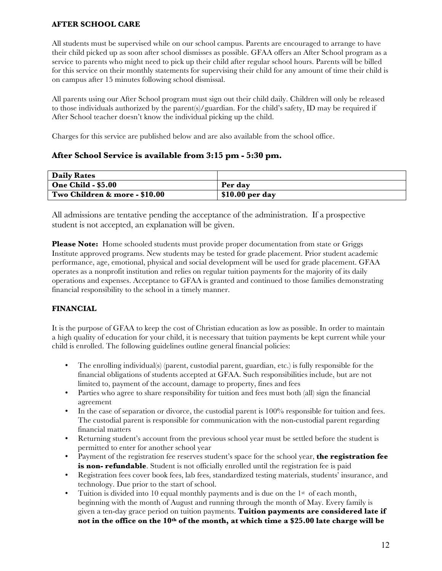## **AFTER SCHOOL CARE**

All students must be supervised while on our school campus. Parents are encouraged to arrange to have their child picked up as soon after school dismisses as possible. GFAA offers an After School program as a service to parents who might need to pick up their child after regular school hours. Parents will be billed for this service on their monthly statements for supervising their child for any amount of time their child is on campus after 15 minutes following school dismissal.

All parents using our After School program must sign out their child daily. Children will only be released to those individuals authorized by the parent(s)/guardian. For the child's safety, ID may be required if After School teacher doesn't know the individual picking up the child.

Charges for this service are published below and are also available from the school office.

# **After School Service is available from 3:15 pm - 5:30 pm.**

| <b>Daily Rates</b>            |                  |
|-------------------------------|------------------|
| <b>One Child - \$5.00</b>     | Per dav          |
| Two Children & more - \$10.00 | $$10.00$ per day |

All admissions are tentative pending the acceptance of the administration. If a prospective student is not accepted, an explanation will be given.

**Please Note:** Home schooled students must provide proper documentation from state or Griggs Institute approved programs. New students may be tested for grade placement. Prior student academic performance, age, emotional, physical and social development will be used for grade placement. GFAA operates as a nonprofit institution and relies on regular tuition payments for the majority of its daily operations and expenses. Acceptance to GFAA is granted and continued to those families demonstrating financial responsibility to the school in a timely manner.

# **FINANCIAL**

It is the purpose of GFAA to keep the cost of Christian education as low as possible. In order to maintain a high quality of education for your child, it is necessary that tuition payments be kept current while your child is enrolled. The following guidelines outline general financial policies:

- The enrolling individual(s) (parent, custodial parent, guardian, etc.) is fully responsible for the financial obligations of students accepted at GFAA. Such responsibilities include, but are not limited to, payment of the account, damage to property, fines and fees
- Parties who agree to share responsibility for tuition and fees must both (all) sign the financial agreement
- In the case of separation or divorce, the custodial parent is 100% responsible for tuition and fees. The custodial parent is responsible for communication with the non-custodial parent regarding financial matters
- Returning student's account from the previous school year must be settled before the student is permitted to enter for another school year
- Payment of the registration fee reserves student's space for the school year, **the registration fee is non-refundable**. Student is not officially enrolled until the registration fee is paid
- Registration fees cover book fees, lab fees, standardized testing materials, students' insurance, and technology. Due prior to the start of school.
- Tuition is divided into 10 equal monthly payments and is due on the  $1<sup>st</sup>$  of each month, beginning with the month of August and running through the month of May. Every family is given a ten-day grace period on tuition payments. **Tuition payments are considered late if not in the office on the 10th of the month, at which time a \$25.00 late charge will be**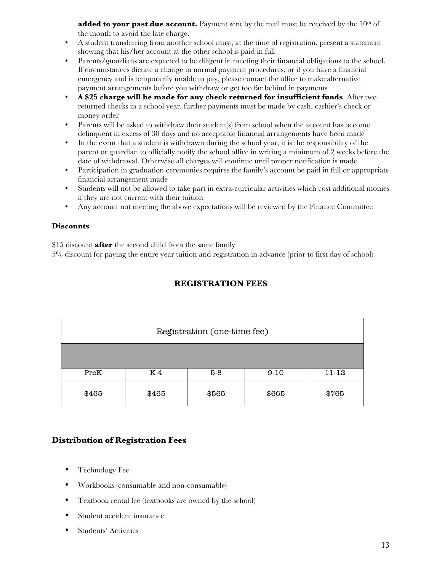**added to your past due account.** Payment sent by the mail must be received by the 10<sup>th</sup> of the month to avoid the late charge.

- A student transferring from another school must, at the time of registration, present a statement showing that his/her account at the other school is paid in full
- Parents/guardians are expected to be diligent in meeting their financial obligations to the school. If circumstances dictate a change in normal payment procedures, or if you have a financial emergency and is temporarily unable to pay, please contact the office to make alternative payment arrangements before you withdraw or get too far behind in payments
- **A \$25 charge will be made for any check returned for insufficient funds**. After two returned checks in a school year, further payments must be made by cash, cashier's check or money order
- Parents will be asked to withdraw their student(s) from school when the account has become delinquent in excess of 30 days and no acceptable financial arrangements have been made
- In the event that a student is withdrawn during the school year, it is the responsibility of the parent or guardian to officially notify the school office in writing a minimum of 2 weeks before the date of withdrawal. Otherwise all charges will continue until proper notification is made
- Participation in graduation ceremonies requires the family's account be paid in full or appropriate financial arrangement made
- Students will not be allowed to take part in extra-curricular activities which cost additional monies if they are not current with their tuition
- Any account not meeting the above expectations will be reviewed by the Finance Committee

#### **Discounts**

\$15 discount **after** the second child from the same family

5% discount for paying the entire year tuition and registration in advance (prior to first day of school)

# **REGISTRATION FEES**

| Registration (one-time fee) |       |       |        |           |
|-----------------------------|-------|-------|--------|-----------|
|                             |       |       |        |           |
| PreK                        | $K-4$ | $5-8$ | $9-10$ | $11 - 12$ |
| \$465                       | \$465 | \$565 | \$665  | \$765     |

# **Distribution of Registration Fees**

- Technology Fee
- Workbooks (consumable and non-consumable)
- Textbook rental fee (textbooks are owned by the school)
- Student accident insurance
- Students' Activities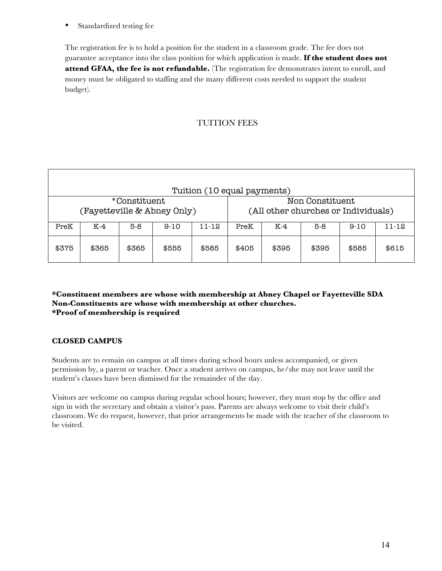• Standardized testing fee

The registration fee is to hold a position for the student in a classroom grade. The fee does not guarantee acceptance into the class position for which application is made. **If the student does not attend GFAA, the fee is not refundable.** (The registration fee demonstrates intent to enroll, and money must be obligated to staffing and the many different costs needed to support the student budget).

# TUITION FEES

|                             |       |              |       | Tuition (10 equal payments)         |       |       |                 |        |           |
|-----------------------------|-------|--------------|-------|-------------------------------------|-------|-------|-----------------|--------|-----------|
|                             |       | *Constituent |       |                                     |       |       | Non Constituent |        |           |
| (Fayetteville & Abney Only) |       |              |       | (All other churches or Individuals) |       |       |                 |        |           |
| PreK                        | K-4   | $5-8$        | 9-10  | $11 - 12$                           | PreK  | K-4   | $5-8$           | $9-10$ | $11 - 12$ |
| \$375                       | \$365 | \$365        | \$555 | \$585                               | \$405 | \$395 | \$395           | \$585  | \$615     |

#### **\*Constituent members are whose with membership at Abney Chapel or Fayetteville SDA Non-Constituents are whose with membership at other churches. \*Proof of membership is required**

#### **CLOSED CAMPUS**

Students are to remain on campus at all times during school hours unless accompanied, or given permission by, a parent or teacher. Once a student arrives on campus, he/she may not leave until the student's classes have been dismissed for the remainder of the day.

Visitors are welcome on campus during regular school hours; however, they must stop by the office and sign in with the secretary and obtain a visitor's pass. Parents are always welcome to visit their child's classroom. We do request, however, that prior arrangements be made with the teacher of the classroom to be visited.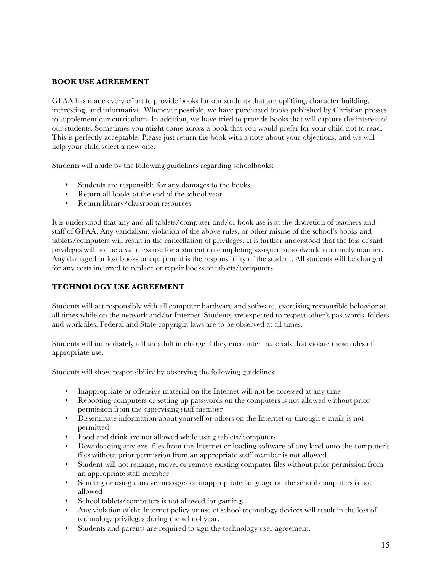## **BOOK USE AGREEMENT**

GFAA has made every effort to provide books for our students that are uplifting, character building, interesting, and informative. Whenever possible, we have purchased books published by Christian presses to supplement our curriculum. In addition, we have tried to provide books that will capture the interest of our students. Sometimes you might come across a book that you would prefer for your child not to read. This is perfectly acceptable. Please just return the book with a note about your objections, and we will help your child select a new one.

Students will abide by the following guidelines regarding schoolbooks:

- Students are responsible for any damages to the books
- Return all books at the end of the school year<br>• Return library/classroom resources
- Return library/classroom resources

It is understood that any and all tablets/computer and/or book use is at the discretion of teachers and staff of GFAA. Any vandalism, violation of the above rules, or other misuse of the school's books and tablets/computers will result in the cancellation of privileges. It is further understood that the loss of said privileges will not be a valid excuse for a student on completing assigned schoolwork in a timely manner. Any damaged or lost books or equipment is the responsibility of the student. All students will be charged for any costs incurred to replace or repair books or tablets/computers.

## **TECHNOLOGY USE AGREEMENT**

Students will act responsibly with all computer hardware and software, exercising responsible behavior at all times while on the network and/or Internet. Students are expected to respect other's passwords, folders and work files. Federal and State copyright laws are to be observed at all times.

Students will immediately tell an adult in charge if they encounter materials that violate these rules of appropriate use.

Students will show responsibility by observing the following guidelines:

- Inappropriate or offensive material on the Internet will not be accessed at any time
- Rebooting computers or setting up passwords on the computers is not allowed without prior permission from the supervising staff member
- Disseminate information about yourself or others on the Internet or through e-mails is not permitted
- Food and drink are not allowed while using tablets/computers
- Downloading any exe. files from the Internet or loading software of any kind onto the computer's files without prior permission from an appropriate staff member is not allowed
- Student will not rename, move, or remove existing computer files without prior permission from an appropriate staff member
- Sending or using abusive messages or inappropriate language on the school computers is not allowed
- School tablets/computers is not allowed for gaming.
- Any violation of the Internet policy or use of school technology devices will result in the loss of technology privileges during the school year.
- Students and parents are required to sign the technology user agreement.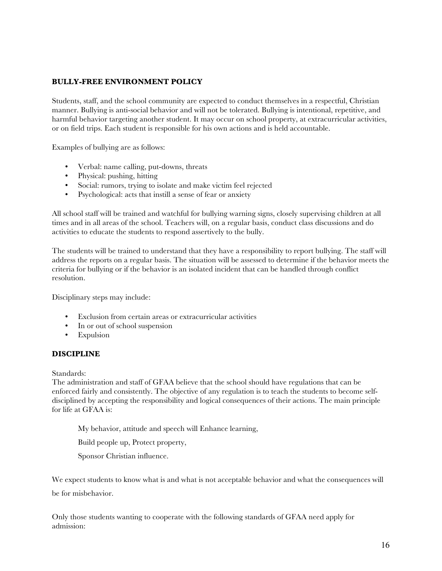## **BULLY-FREE ENVIRONMENT POLICY**

Students, staff, and the school community are expected to conduct themselves in a respectful, Christian manner. Bullying is anti-social behavior and will not be tolerated. Bullying is intentional, repetitive, and harmful behavior targeting another student. It may occur on school property, at extracurricular activities, or on field trips. Each student is responsible for his own actions and is held accountable.

Examples of bullying are as follows:

- Verbal: name calling, put-downs, threats
- Physical: pushing, hitting
- Social: rumors, trying to isolate and make victim feel rejected<br>• Psychological: acts that instill a sense of fear or anxiety
- Psychological: acts that instill a sense of fear or anxiety

All school staff will be trained and watchful for bullying warning signs, closely supervising children at all times and in all areas of the school. Teachers will, on a regular basis, conduct class discussions and do activities to educate the students to respond assertively to the bully.

The students will be trained to understand that they have a responsibility to report bullying. The staff will address the reports on a regular basis. The situation will be assessed to determine if the behavior meets the criteria for bullying or if the behavior is an isolated incident that can be handled through conflict resolution.

Disciplinary steps may include:

- Exclusion from certain areas or extracurricular activities
- In or out of school suspension
- Expulsion

#### **DISCIPLINE**

Standards:

The administration and staff of GFAA believe that the school should have regulations that can be enforced fairly and consistently. The objective of any regulation is to teach the students to become selfdisciplined by accepting the responsibility and logical consequences of their actions. The main principle for life at GFAA is:

My behavior, attitude and speech will Enhance learning,

Build people up, Protect property,

Sponsor Christian influence.

We expect students to know what is and what is not acceptable behavior and what the consequences will be for misbehavior.

Only those students wanting to cooperate with the following standards of GFAA need apply for admission: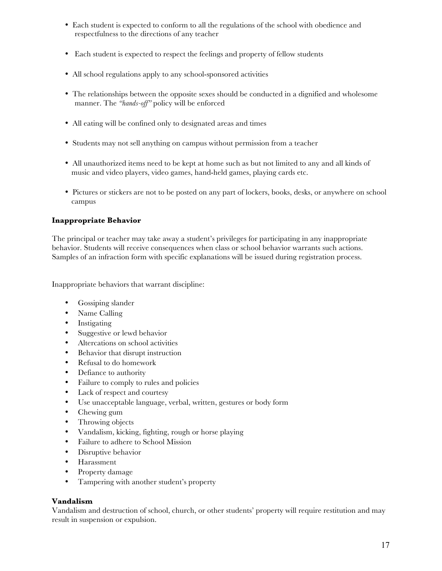- Each student is expected to conform to all the regulations of the school with obedience and respectfulness to the directions of any teacher
- Each student is expected to respect the feelings and property of fellow students
- All school regulations apply to any school-sponsored activities
- The relationships between the opposite sexes should be conducted in a dignified and wholesome manner. The *"hands-off"* policy will be enforced
- All eating will be confined only to designated areas and times
- Students may not sell anything on campus without permission from a teacher
- All unauthorized items need to be kept at home such as but not limited to any and all kinds of music and video players, video games, hand-held games, playing cards etc.
- Pictures or stickers are not to be posted on any part of lockers, books, desks, or anywhere on school campus

## **Inappropriate Behavior**

The principal or teacher may take away a student's privileges for participating in any inappropriate behavior. Students will receive consequences when class or school behavior warrants such actions. Samples of an infraction form with specific explanations will be issued during registration process.

Inappropriate behaviors that warrant discipline:

- Gossiping slander
- Name Calling
- **Instigating**
- Suggestive or lewd behavior
- Altercations on school activities
- Behavior that disrupt instruction
- Refusal to do homework
- Defiance to authority
- Failure to comply to rules and policies
- Lack of respect and courtesy
- Use unacceptable language, verbal, written, gestures or body form
- Chewing gum
- Throwing objects
- Vandalism, kicking, fighting, rough or horse playing
- Failure to adhere to School Mission
- Disruptive behavior
- Harassment
- Property damage
- Tampering with another student's property

#### **Vandalism**

Vandalism and destruction of school, church, or other students' property will require restitution and may result in suspension or expulsion.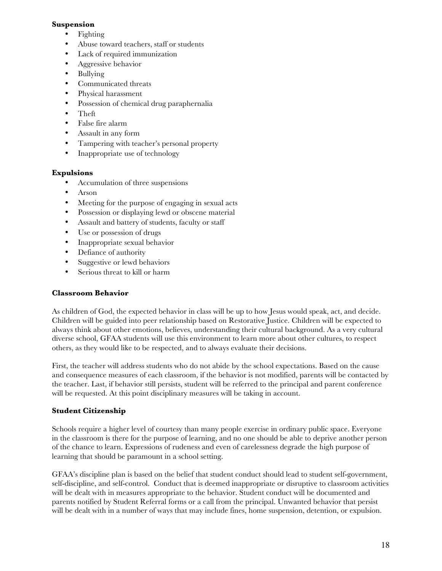## **Suspension**

- **Fighting**
- Abuse toward teachers, staff or students
- Lack of required immunization
- Aggressive behavior
- Bullying
- Communicated threats
- Physical harassment
- Possession of chemical drug paraphernalia
- Theft
- False fire alarm
- Assault in any form
- Tampering with teacher's personal property
- Inappropriate use of technology

# **Expulsions**

- Accumulation of three suspensions
- Arson
- Meeting for the purpose of engaging in sexual acts
- Possession or displaying lewd or obscene material
- Assault and battery of students, faculty or staff
- Use or possession of drugs
- Inappropriate sexual behavior
- Defiance of authority
- Suggestive or lewd behaviors
- Serious threat to kill or harm

## **Classroom Behavior**

As children of God, the expected behavior in class will be up to how Jesus would speak, act, and decide. Children will be guided into peer relationship based on Restorative Justice. Children will be expected to always think about other emotions, believes, understanding their cultural background. As a very cultural diverse school, GFAA students will use this environment to learn more about other cultures, to respect others, as they would like to be respected, and to always evaluate their decisions.

First, the teacher will address students who do not abide by the school expectations. Based on the cause and consequence measures of each classroom, if the behavior is not modified, parents will be contacted by the teacher. Last, if behavior still persists, student will be referred to the principal and parent conference will be requested. At this point disciplinary measures will be taking in account.

## **Student Citizenship**

Schools require a higher level of courtesy than many people exercise in ordinary public space. Everyone in the classroom is there for the purpose of learning, and no one should be able to deprive another person of the chance to learn. Expressions of rudeness and even of carelessness degrade the high purpose of learning that should be paramount in a school setting.

GFAA's discipline plan is based on the belief that student conduct should lead to student self-government, self-discipline, and self-control. Conduct that is deemed inappropriate or disruptive to classroom activities will be dealt with in measures appropriate to the behavior. Student conduct will be documented and parents notified by Student Referral forms or a call from the principal. Unwanted behavior that persist will be dealt with in a number of ways that may include fines, home suspension, detention, or expulsion.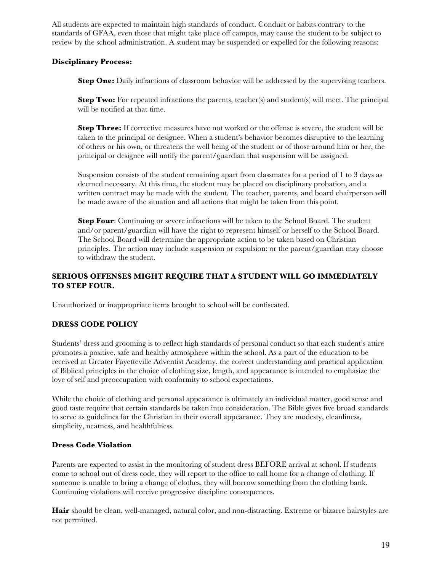All students are expected to maintain high standards of conduct. Conduct or habits contrary to the standards of GFAA, even those that might take place off campus, may cause the student to be subject to review by the school administration. A student may be suspended or expelled for the following reasons:

## **Disciplinary Process:**

**Step One:** Daily infractions of classroom behavior will be addressed by the supervising teachers.

**Step Two:** For repeated infractions the parents, teacher(s) and student(s) will meet. The principal will be notified at that time.

**Step Three:** If corrective measures have not worked or the offense is severe, the student will be taken to the principal or designee. When a student's behavior becomes disruptive to the learning of others or his own, or threatens the well being of the student or of those around him or her, the principal or designee will notify the parent/guardian that suspension will be assigned.

Suspension consists of the student remaining apart from classmates for a period of 1 to 3 days as deemed necessary. At this time, the student may be placed on disciplinary probation, and a written contract may be made with the student. The teacher, parents, and board chairperson will be made aware of the situation and all actions that might be taken from this point.

**Step Four:** Continuing or severe infractions will be taken to the School Board. The student and/or parent/guardian will have the right to represent himself or herself to the School Board. The School Board will determine the appropriate action to be taken based on Christian principles. The action may include suspension or expulsion; or the parent/guardian may choose to withdraw the student.

# **SERIOUS OFFENSES MIGHT REQUIRE THAT A STUDENT WILL GO IMMEDIATELY TO STEP FOUR.**

Unauthorized or inappropriate items brought to school will be confiscated.

## **DRESS CODE POLICY**

Students' dress and grooming is to reflect high standards of personal conduct so that each student's attire promotes a positive, safe and healthy atmosphere within the school. As a part of the education to be received at Greater Fayetteville Adventist Academy, the correct understanding and practical application of Biblical principles in the choice of clothing size, length, and appearance is intended to emphasize the love of self and preoccupation with conformity to school expectations.

While the choice of clothing and personal appearance is ultimately an individual matter, good sense and good taste require that certain standards be taken into consideration. The Bible gives five broad standards to serve as guidelines for the Christian in their overall appearance. They are modesty, cleanliness, simplicity, neatness, and healthfulness.

## **Dress Code Violation**

Parents are expected to assist in the monitoring of student dress BEFORE arrival at school. If students come to school out of dress code, they will report to the office to call home for a change of clothing. If someone is unable to bring a change of clothes, they will borrow something from the clothing bank. Continuing violations will receive progressive discipline consequences.

**Hair** should be clean, well-managed, natural color, and non-distracting. Extreme or bizarre hairstyles are not permitted.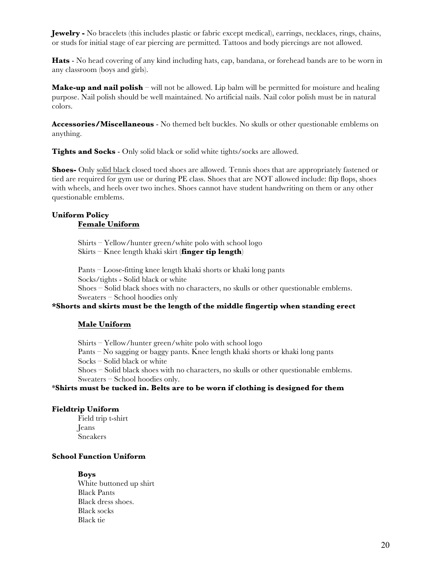**Jewelry -** No bracelets (this includes plastic or fabric except medical), earrings, necklaces, rings, chains, or studs for initial stage of ear piercing are permitted. Tattoos and body piercings are not allowed.

**Hats** - No head covering of any kind including hats, cap, bandana, or forehead bands are to be worn in any classroom (boys and girls).

**Make-up and nail polish** – will not be allowed. Lip balm will be permitted for moisture and healing purpose. Nail polish should be well maintained. No artificial nails. Nail color polish must be in natural colors.

**Accessories/Miscellaneous** - No themed belt buckles. No skulls or other questionable emblems on anything.

**Tights and Socks** - Only solid black or solid white tights/socks are allowed.

**Shoes-** Only solid black closed toed shoes are allowed. Tennis shoes that are appropriately fastened or tied are required for gym use or during PE class. Shoes that are NOT allowed include: flip flops, shoes with wheels, and heels over two inches. Shoes cannot have student handwriting on them or any other questionable emblems.

### **Uniform Policy Female Uniform**

Shirts – Yellow/hunter green/white polo with school logo Skirts – Knee length khaki skirt (**finger tip length**)

Pants – Loose-fitting knee length khaki shorts or khaki long pants Socks/tights - Solid black or white Shoes – Solid black shoes with no characters, no skulls or other questionable emblems. Sweaters – School hoodies only

## **\*Shorts and skirts must be the length of the middle fingertip when standing erect**

#### **Male Uniform**

Shirts – Yellow/hunter green/white polo with school logo

Pants – No sagging or baggy pants. Knee length khaki shorts or khaki long pants

Socks – Solid black or white

Shoes – Solid black shoes with no characters, no skulls or other questionable emblems. Sweaters – School hoodies only.

#### \***Shirts must be tucked in. Belts are to be worn if clothing is designed for them**

#### **Fieldtrip Uniform**

Field trip t-shirt Jeans Sneakers

## **School Function Uniform**

#### **Boys**

White buttoned up shirt Black Pants Black dress shoes. Black socks Black tie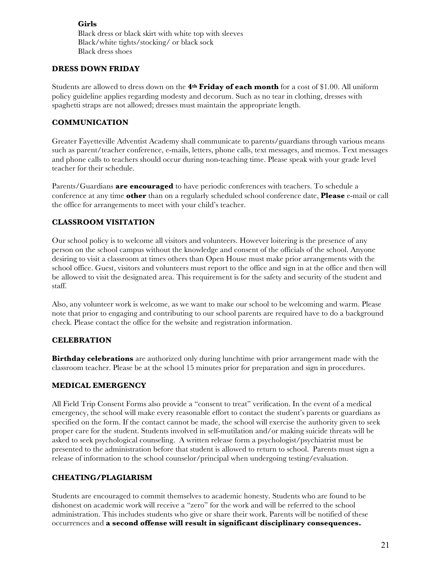**Girls** Black dress or black skirt with white top with sleeves Black/white tights/stocking/ or black sock Black dress shoes

#### **DRESS DOWN FRIDAY**

Students are allowed to dress down on the **4th Friday of each month** for a cost of \$1.00. All uniform policy guideline applies regarding modesty and decorum. Such as no tear in clothing, dresses with spaghetti straps are not allowed; dresses must maintain the appropriate length.

#### **COMMUNICATION**

Greater Fayetteville Adventist Academy shall communicate to parents/guardians through various means such as parent/teacher conference, e-mails, letters, phone calls, text messages, and memos. Text messages and phone calls to teachers should occur during non-teaching time. Please speak with your grade level teacher for their schedule.

Parents/Guardians **are encouraged** to have periodic conferences with teachers. To schedule a conference at any time **other** than on a regularly scheduled school conference date, **Please** e-mail or call the office for arrangements to meet with your child's teacher.

# **CLASSROOM VISITATION**

Our school policy is to welcome all visitors and volunteers. However loitering is the presence of any person on the school campus without the knowledge and consent of the officials of the school. Anyone desiring to visit a classroom at times others than Open House must make prior arrangements with the school office. Guest, visitors and volunteers must report to the office and sign in at the office and then will be allowed to visit the designated area. This requirement is for the safety and security of the student and staff.

Also, any volunteer work is welcome, as we want to make our school to be welcoming and warm. Please note that prior to engaging and contributing to our school parents are required have to do a background check. Please contact the office for the website and registration information.

## **CELEBRATION**

**Birthday celebrations** are authorized only during lunchtime with prior arrangement made with the classroom teacher. Please be at the school 15 minutes prior for preparation and sign in procedures.

#### **MEDICAL EMERGENCY**

All Field Trip Consent Forms also provide a "consent to treat" verification. In the event of a medical emergency, the school will make every reasonable effort to contact the student's parents or guardians as specified on the form. If the contact cannot be made, the school will exercise the authority given to seek proper care for the student. Students involved in self-mutilation and/or making suicide threats will be asked to seek psychological counseling. A written release form a psychologist/psychiatrist must be presented to the administration before that student is allowed to return to school. Parents must sign a release of information to the school counselor/principal when undergoing testing/evaluation.

## **CHEATING/PLAGIARISM**

Students are encouraged to commit themselves to academic honesty. Students who are found to be dishonest on academic work will receive a "zero" for the work and will be referred to the school administration. This includes students who give or share their work. Parents will be notified of these occurrences and **a second offense will result in significant disciplinary consequences.**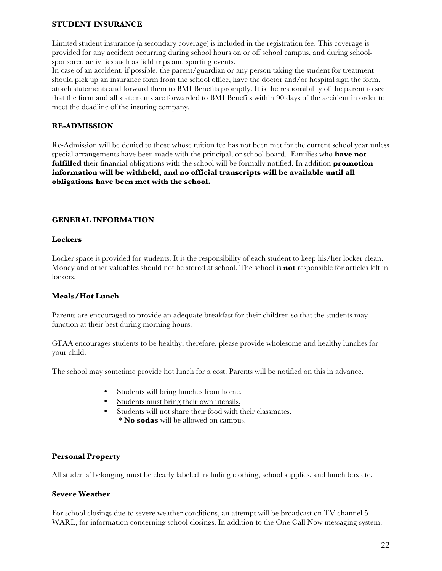#### **STUDENT INSURANCE**

Limited student insurance (a secondary coverage) is included in the registration fee. This coverage is provided for any accident occurring during school hours on or off school campus, and during schoolsponsored activities such as field trips and sporting events.

In case of an accident, if possible, the parent/guardian or any person taking the student for treatment should pick up an insurance form from the school office, have the doctor and/or hospital sign the form, attach statements and forward them to BMI Benefits promptly. It is the responsibility of the parent to see that the form and all statements are forwarded to BMI Benefits within 90 days of the accident in order to meet the deadline of the insuring company.

### **RE-ADMISSION**

Re-Admission will be denied to those whose tuition fee has not been met for the current school year unless special arrangements have been made with the principal, or school board. Families who **have not fulfilled** their financial obligations with the school will be formally notified. In addition **promotion information will be withheld, and no official transcripts will be available until all obligations have been met with the school.** 

## **GENERAL INFORMATION**

#### **Lockers**

Locker space is provided for students. It is the responsibility of each student to keep his/her locker clean. Money and other valuables should not be stored at school. The school is **not** responsible for articles left in lockers.

#### **Meals/Hot Lunch**

Parents are encouraged to provide an adequate breakfast for their children so that the students may function at their best during morning hours.

GFAA encourages students to be healthy, therefore, please provide wholesome and healthy lunches for your child.

The school may sometime provide hot lunch for a cost. Parents will be notified on this in advance.

- Students will bring lunches from home.
- Students must bring their own utensils.
- Students will not share their food with their classmates. \* **No sodas** will be allowed on campus.

#### **Personal Property**

All students' belonging must be clearly labeled including clothing, school supplies, and lunch box etc.

#### **Severe Weather**

For school closings due to severe weather conditions, an attempt will be broadcast on TV channel 5 WARL, for information concerning school closings. In addition to the One Call Now messaging system.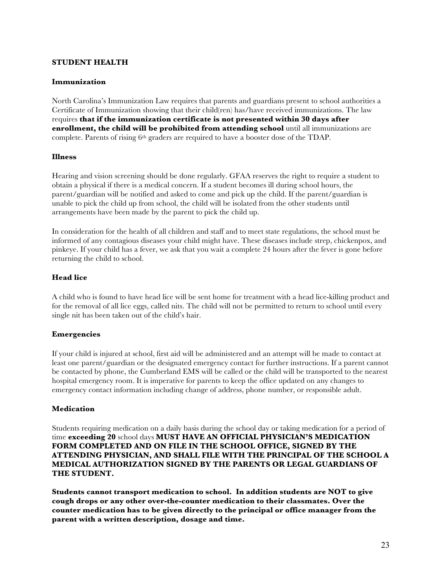#### **STUDENT HEALTH**

#### **Immunization**

North Carolina's Immunization Law requires that parents and guardians present to school authorities a Certificate of Immunization showing that their child(ren) has/have received immunizations. The law requires **that if the immunization certificate is not presented within 30 days after enrollment, the child will be prohibited from attending school** until all immunizations are complete. Parents of rising  $6<sup>th</sup>$  graders are required to have a booster dose of the TDAP.

#### **Illness**

Hearing and vision screening should be done regularly. GFAA reserves the right to require a student to obtain a physical if there is a medical concern. If a student becomes ill during school hours, the parent/guardian will be notified and asked to come and pick up the child. If the parent/guardian is unable to pick the child up from school, the child will be isolated from the other students until arrangements have been made by the parent to pick the child up.

In consideration for the health of all children and staff and to meet state regulations, the school must be informed of any contagious diseases your child might have. These diseases include strep, chickenpox, and pinkeye. If your child has a fever, we ask that you wait a complete 24 hours after the fever is gone before returning the child to school.

#### **Head lice**

A child who is found to have head lice will be sent home for treatment with a head lice-killing product and for the removal of all lice eggs, called nits. The child will not be permitted to return to school until every single nit has been taken out of the child's hair.

#### **Emergencies**

If your child is injured at school, first aid will be administered and an attempt will be made to contact at least one parent/guardian or the designated emergency contact for further instructions. If a parent cannot be contacted by phone, the Cumberland EMS will be called or the child will be transported to the nearest hospital emergency room. It is imperative for parents to keep the office updated on any changes to emergency contact information including change of address, phone number, or responsible adult.

#### **Medication**

Students requiring medication on a daily basis during the school day or taking medication for a period of time **exceeding 20** school days **MUST HAVE AN OFFICIAL PHYSICIAN'S MEDICATION FORM COMPLETED AND ON FILE IN THE SCHOOL OFFICE, SIGNED BY THE ATTENDING PHYSICIAN, AND SHALL FILE WITH THE PRINCIPAL OF THE SCHOOL A MEDICAL AUTHORIZATION SIGNED BY THE PARENTS OR LEGAL GUARDIANS OF THE STUDENT.**

**Students cannot transport medication to school. In addition students are NOT to give cough drops or any other over-the-counter medication to their classmates. Over the counter medication has to be given directly to the principal or office manager from the parent with a written description, dosage and time.**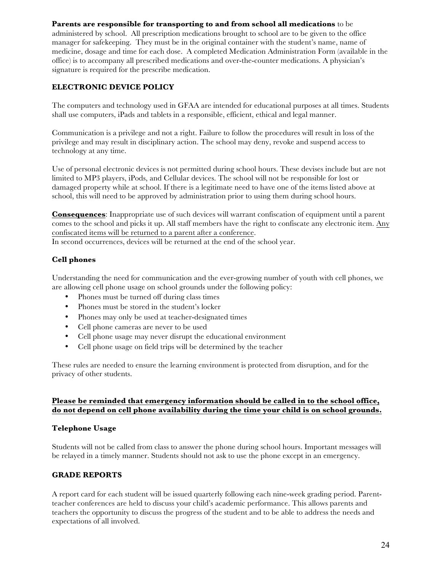## **Parents are responsible for transporting to and from school all medications** to be

administered by school. All prescription medications brought to school are to be given to the office manager for safekeeping. They must be in the original container with the student's name, name of medicine, dosage and time for each dose. A completed Medication Administration Form (available in the office) is to accompany all prescribed medications and over-the-counter medications. A physician's signature is required for the prescribe medication.

# **ELECTRONIC DEVICE POLICY**

The computers and technology used in GFAA are intended for educational purposes at all times. Students shall use computers, iPads and tablets in a responsible, efficient, ethical and legal manner.

Communication is a privilege and not a right. Failure to follow the procedures will result in loss of the privilege and may result in disciplinary action. The school may deny, revoke and suspend access to technology at any time.

Use of personal electronic devices is not permitted during school hours. These devises include but are not limited to MP3 players, iPods, and Cellular devices. The school will not be responsible for lost or damaged property while at school. If there is a legitimate need to have one of the items listed above at school, this will need to be approved by administration prior to using them during school hours.

**Consequences**: Inappropriate use of such devices will warrant confiscation of equipment until a parent comes to the school and picks it up. All staff members have the right to confiscate any electronic item. Any confiscated items will be returned to a parent after a conference.

In second occurrences, devices will be returned at the end of the school year.

# **Cell phones**

Understanding the need for communication and the ever-growing number of youth with cell phones, we are allowing cell phone usage on school grounds under the following policy:

- Phones must be turned off during class times
- Phones must be stored in the student's locker
- Phones may only be used at teacher-designated times
- Cell phone cameras are never to be used
- Cell phone usage may never disrupt the educational environment
- Cell phone usage on field trips will be determined by the teacher

These rules are needed to ensure the learning environment is protected from disruption, and for the privacy of other students.

## **Please be reminded that emergency information should be called in to the school office, do not depend on cell phone availability during the time your child is on school grounds.**

#### **Telephone Usage**

Students will not be called from class to answer the phone during school hours. Important messages will be relayed in a timely manner. Students should not ask to use the phone except in an emergency.

## **GRADE REPORTS**

A report card for each student will be issued quarterly following each nine-week grading period. Parentteacher conferences are held to discuss your child's academic performance. This allows parents and teachers the opportunity to discuss the progress of the student and to be able to address the needs and expectations of all involved.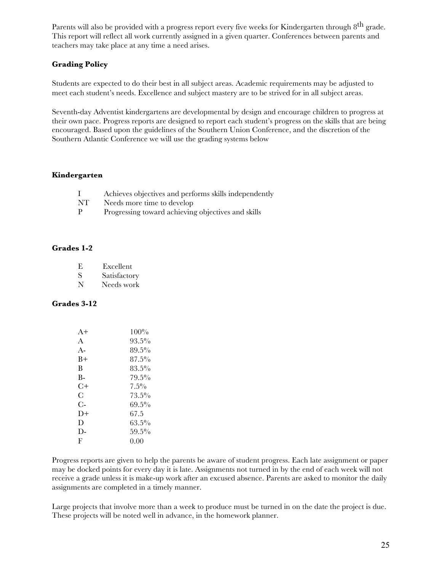Parents will also be provided with a progress report every five weeks for Kindergarten through 8<sup>th</sup> grade. This report will reflect all work currently assigned in a given quarter. Conferences between parents and teachers may take place at any time a need arises.

## **Grading Policy**

Students are expected to do their best in all subject areas. Academic requirements may be adjusted to meet each student's needs. Excellence and subject mastery are to be strived for in all subject areas.

Seventh-day Adventist kindergartens are developmental by design and encourage children to progress at their own pace. Progress reports are designed to report each student's progress on the skills that are being encouraged. Based upon the guidelines of the Southern Union Conference, and the discretion of the Southern Atlantic Conference we will use the grading systems below

#### **Kindergarten**

|     | Achieves objectives and performs skills independently |
|-----|-------------------------------------------------------|
| NT. | Needs more time to develop                            |

P Progressing toward achieving objectives and skills

## **Grades 1-2**

| Е. | Excellent    |
|----|--------------|
| S  | Satisfactory |
| N  | Needs work   |

#### **Grades 3-12**

| $A+$  | $100\%$  |
|-------|----------|
| A     | $93.5\%$ |
| $A -$ | $89.5\%$ |
| $B+$  | $87.5\%$ |
| B     | $83.5\%$ |
| B-    | $79.5\%$ |
| $C+$  | $7.5\%$  |
| C     | $73.5\%$ |
| $C-$  | 69.5%    |
| $D+$  | 67.5     |
| D     | 63.5%    |
| D-    | $59.5\%$ |
| F     | 0.00     |

Progress reports are given to help the parents be aware of student progress. Each late assignment or paper may be docked points for every day it is late. Assignments not turned in by the end of each week will not receive a grade unless it is make-up work after an excused absence. Parents are asked to monitor the daily assignments are completed in a timely manner.

Large projects that involve more than a week to produce must be turned in on the date the project is due. These projects will be noted well in advance, in the homework planner.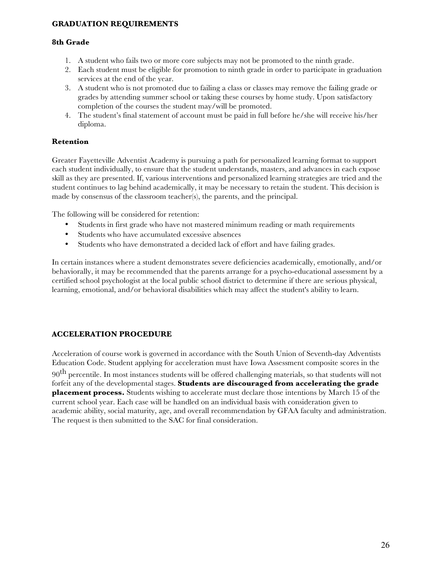## **GRADUATION REQUIREMENTS**

#### **8th Grade**

- 1. A student who fails two or more core subjects may not be promoted to the ninth grade.
- 2. Each student must be eligible for promotion to ninth grade in order to participate in graduation services at the end of the year.
- 3. A student who is not promoted due to failing a class or classes may remove the failing grade or grades by attending summer school or taking these courses by home study. Upon satisfactory completion of the courses the student may/will be promoted.
- 4. The student's final statement of account must be paid in full before he/she will receive his/her diploma.

#### **Retention**

Greater Fayetteville Adventist Academy is pursuing a path for personalized learning format to support each student individually, to ensure that the student understands, masters, and advances in each expose skill as they are presented. If, various interventions and personalized learning strategies are tried and the student continues to lag behind academically, it may be necessary to retain the student. This decision is made by consensus of the classroom teacher(s), the parents, and the principal.

The following will be considered for retention:

- Students in first grade who have not mastered minimum reading or math requirements
- Students who have accumulated excessive absences
- Students who have demonstrated a decided lack of effort and have failing grades.

In certain instances where a student demonstrates severe deficiencies academically, emotionally, and/or behaviorally, it may be recommended that the parents arrange for a psycho-educational assessment by a certified school psychologist at the local public school district to determine if there are serious physical, learning, emotional, and/or behavioral disabilities which may affect the student's ability to learn.

#### **ACCELERATION PROCEDURE**

Acceleration of course work is governed in accordance with the South Union of Seventh-day Adventists Education Code. Student applying for acceleration must have Iowa Assessment composite scores in the

90<sup>th</sup> percentile. In most instances students will be offered challenging materials, so that students will not forfeit any of the developmental stages. **Students are discouraged from accelerating the grade placement process.** Students wishing to accelerate must declare those intentions by March 15 of the current school year. Each case will be handled on an individual basis with consideration given to academic ability, social maturity, age, and overall recommendation by GFAA faculty and administration. The request is then submitted to the SAC for final consideration.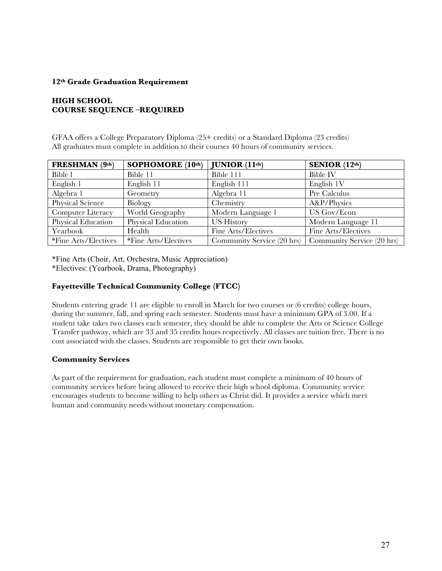## **12th Grade Graduation Requirement**

## **HIGH SCHOOL COURSE SEQUENCE –REQUIRED**

GFAA offers a College Preparatory Diploma (25+ credits) or a Standard Diploma (23 credits) All graduates must complete in addition to their courses 40 hours of community services.

| FRESHMAN (9th)       | SOPHOMORE (10th)     | JUNIOR (11 <sup>th</sup> ) | SENIOR $(12th)$            |
|----------------------|----------------------|----------------------------|----------------------------|
| Bible 1              | Bible 11             | Bible 111                  | Bible IV                   |
| English 1            | English 11           | English 111                | English 1V                 |
| Algebra 1            | Geometry             | Algebra 11                 | Pre Calculus               |
| Physical Science     | Biology              | Chemistry                  | A&P/Physics                |
| Computer Literacy    | World Geography      | Modern Language 1          | US Gov/Econ                |
| Physical Education   | Physical Education   | <b>US History</b>          | Modern Language 11         |
| Yearbook             | Health               | Fine Arts/Electives        | Fine Arts/Electives        |
| *Fine Arts/Electives | *Fine Arts/Electives | Community Service (20 hrs) | Community Service (20 hrs) |

\*Fine Arts (Choir, Art, Orchestra, Music Appreciation) \*Electives: (Yearbook, Drama, Photography)

## **Fayetteville Technical Community College (FTCC)**

Students entering grade 11 are eligible to enroll in March for two courses or (6 credits) college hours, during the summer, fall, and spring each semester. Students must have a minimum GPA of 3.00. If a student take takes two classes each semester, they should be able to complete the Arts or Science College Transfer pathway, which are 33 and 35 credits hours respectively. All classes are tuition free. There is no cost associated with the classes. Students are responsible to get their own books.

#### **Community Services**

As part of the requirement for graduation, each student must complete a minimum of 40 hours of community services before being allowed to receive their high school diploma. Community service encourages students to become willing to help others as Christ did. It provides a service which meet human and community needs without monetary compensation.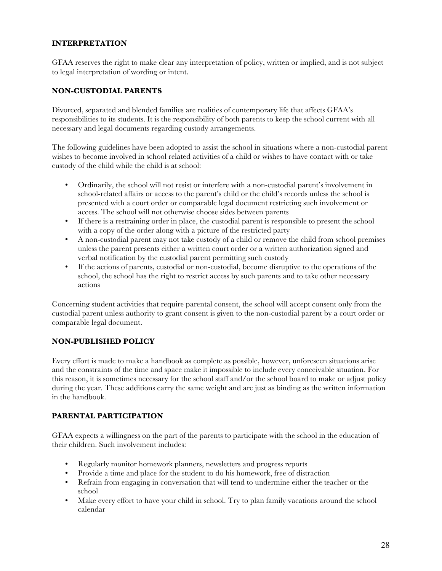## **INTERPRETATION**

GFAA reserves the right to make clear any interpretation of policy, written or implied, and is not subject to legal interpretation of wording or intent.

### **NON-CUSTODIAL PARENTS**

Divorced, separated and blended families are realities of contemporary life that affects GFAA's responsibilities to its students. It is the responsibility of both parents to keep the school current with all necessary and legal documents regarding custody arrangements.

The following guidelines have been adopted to assist the school in situations where a non-custodial parent wishes to become involved in school related activities of a child or wishes to have contact with or take custody of the child while the child is at school:

- Ordinarily, the school will not resist or interfere with a non-custodial parent's involvement in school-related affairs or access to the parent's child or the child's records unless the school is presented with a court order or comparable legal document restricting such involvement or access. The school will not otherwise choose sides between parents
- If there is a restraining order in place, the custodial parent is responsible to present the school with a copy of the order along with a picture of the restricted party
- A non-custodial parent may not take custody of a child or remove the child from school premises unless the parent presents either a written court order or a written authorization signed and verbal notification by the custodial parent permitting such custody
- If the actions of parents, custodial or non-custodial, become disruptive to the operations of the school, the school has the right to restrict access by such parents and to take other necessary actions

Concerning student activities that require parental consent, the school will accept consent only from the custodial parent unless authority to grant consent is given to the non-custodial parent by a court order or comparable legal document.

## **NON-PUBLISHED POLICY**

Every effort is made to make a handbook as complete as possible, however, unforeseen situations arise and the constraints of the time and space make it impossible to include every conceivable situation. For this reason, it is sometimes necessary for the school staff and/or the school board to make or adjust policy during the year. These additions carry the same weight and are just as binding as the written information in the handbook.

#### **PARENTAL PARTICIPATION**

GFAA expects a willingness on the part of the parents to participate with the school in the education of their children. Such involvement includes:

- Regularly monitor homework planners, newsletters and progress reports
- Provide a time and place for the student to do his homework, free of distraction
- Refrain from engaging in conversation that will tend to undermine either the teacher or the school
- Make every effort to have your child in school. Try to plan family vacations around the school calendar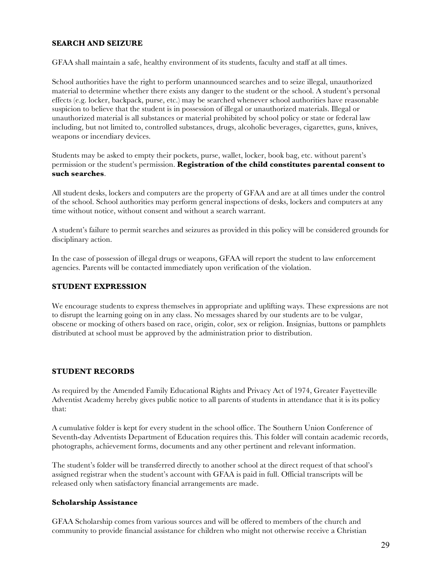## **SEARCH AND SEIZURE**

GFAA shall maintain a safe, healthy environment of its students, faculty and staff at all times.

School authorities have the right to perform unannounced searches and to seize illegal, unauthorized material to determine whether there exists any danger to the student or the school. A student's personal effects (e.g. locker, backpack, purse, etc.) may be searched whenever school authorities have reasonable suspicion to believe that the student is in possession of illegal or unauthorized materials. Illegal or unauthorized material is all substances or material prohibited by school policy or state or federal law including, but not limited to, controlled substances, drugs, alcoholic beverages, cigarettes, guns, knives, weapons or incendiary devices.

Students may be asked to empty their pockets, purse, wallet, locker, book bag, etc. without parent's permission or the student's permission. **Registration of the child constitutes parental consent to such searches**.

All student desks, lockers and computers are the property of GFAA and are at all times under the control of the school. School authorities may perform general inspections of desks, lockers and computers at any time without notice, without consent and without a search warrant.

A student's failure to permit searches and seizures as provided in this policy will be considered grounds for disciplinary action.

In the case of possession of illegal drugs or weapons, GFAA will report the student to law enforcement agencies. Parents will be contacted immediately upon verification of the violation.

#### **STUDENT EXPRESSION**

We encourage students to express themselves in appropriate and uplifting ways. These expressions are not to disrupt the learning going on in any class. No messages shared by our students are to be vulgar, obscene or mocking of others based on race, origin, color, sex or religion. Insignias, buttons or pamphlets distributed at school must be approved by the administration prior to distribution.

#### **STUDENT RECORDS**

As required by the Amended Family Educational Rights and Privacy Act of 1974, Greater Fayetteville Adventist Academy hereby gives public notice to all parents of students in attendance that it is its policy that:

A cumulative folder is kept for every student in the school office. The Southern Union Conference of Seventh-day Adventists Department of Education requires this. This folder will contain academic records, photographs, achievement forms, documents and any other pertinent and relevant information.

The student's folder will be transferred directly to another school at the direct request of that school's assigned registrar when the student's account with GFAA is paid in full. Official transcripts will be released only when satisfactory financial arrangements are made.

#### **Scholarship Assistance**

GFAA Scholarship comes from various sources and will be offered to members of the church and community to provide financial assistance for children who might not otherwise receive a Christian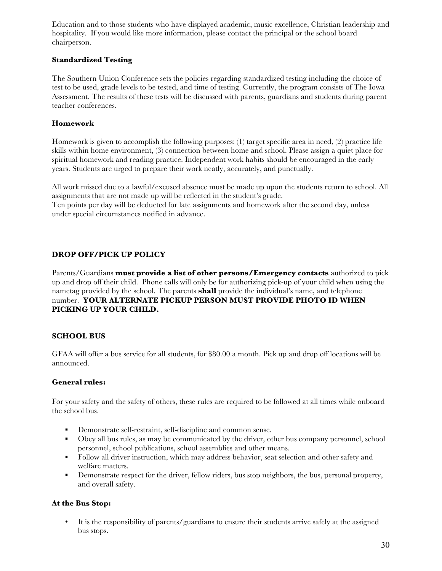Education and to those students who have displayed academic, music excellence, Christian leadership and hospitality. If you would like more information, please contact the principal or the school board chairperson.

## **Standardized Testing**

The Southern Union Conference sets the policies regarding standardized testing including the choice of test to be used, grade levels to be tested, and time of testing. Currently, the program consists of The Iowa Assessment. The results of these tests will be discussed with parents, guardians and students during parent teacher conferences.

# **Homework**

Homework is given to accomplish the following purposes: (1) target specific area in need, (2) practice life skills within home environment, (3) connection between home and school. Please assign a quiet place for spiritual homework and reading practice. Independent work habits should be encouraged in the early years. Students are urged to prepare their work neatly, accurately, and punctually.

All work missed due to a lawful/excused absence must be made up upon the students return to school. All assignments that are not made up will be reflected in the student's grade.

Ten points per day will be deducted for late assignments and homework after the second day, unless under special circumstances notified in advance.

## **DROP OFF/PICK UP POLICY**

Parents/Guardians **must provide a list of other persons/Emergency contacts** authorized to pick up and drop off their child. Phone calls will only be for authorizing pick-up of your child when using the nametag provided by the school. The parents **shall** provide the individual's name, and telephone number. **YOUR ALTERNATE PICKUP PERSON MUST PROVIDE PHOTO ID WHEN PICKING UP YOUR CHILD.**

## **SCHOOL BUS**

GFAA will offer a bus service for all students, for \$80.00 a month. Pick up and drop off locations will be announced.

## **General rules:**

For your safety and the safety of others, these rules are required to be followed at all times while onboard the school bus.

- Demonstrate self-restraint, self-discipline and common sense.
- § Obey all bus rules, as may be communicated by the driver, other bus company personnel, school personnel, school publications, school assemblies and other means.
- Follow all driver instruction, which may address behavior, seat selection and other safety and welfare matters.
- Demonstrate respect for the driver, fellow riders, bus stop neighbors, the bus, personal property, and overall safety.

## **At the Bus Stop:**

• It is the responsibility of parents/guardians to ensure their students arrive safely at the assigned bus stops.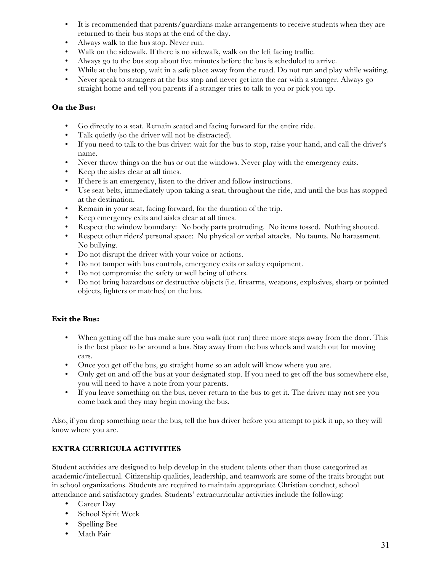- It is recommended that parents/guardians make arrangements to receive students when they are returned to their bus stops at the end of the day.
- Always walk to the bus stop. Never run.
- Walk on the sidewalk. If there is no sidewalk, walk on the left facing traffic.
- Always go to the bus stop about five minutes before the bus is scheduled to arrive.
- While at the bus stop, wait in a safe place away from the road. Do not run and play while waiting.<br>• Never speak to strangers at the bus stop and never get into the car with a stranger. Always go
- Never speak to strangers at the bus stop and never get into the car with a stranger. Always go straight home and tell you parents if a stranger tries to talk to you or pick you up.

## **On the Bus:**

- Go directly to a seat. Remain seated and facing forward for the entire ride.
- Talk quietly (so the driver will not be distracted).
- If you need to talk to the bus driver: wait for the bus to stop, raise your hand, and call the driver's name.
- Never throw things on the bus or out the windows. Never play with the emergency exits.
- Keep the aisles clear at all times.
- If there is an emergency, listen to the driver and follow instructions.
- Use seat belts, immediately upon taking a seat, throughout the ride, and until the bus has stopped at the destination.
- Remain in your seat, facing forward, for the duration of the trip.
- Keep emergency exits and aisles clear at all times.
- Respect the window boundary: No body parts protruding. No items tossed. Nothing shouted.
- Respect other riders' personal space: No physical or verbal attacks. No taunts. No harassment. No bullying.
- Do not disrupt the driver with your voice or actions.
- Do not tamper with bus controls, emergency exits or safety equipment.
- Do not compromise the safety or well being of others.
- Do not bring hazardous or destructive objects (i.e. firearms, weapons, explosives, sharp or pointed objects, lighters or matches) on the bus.

## **Exit the Bus:**

- When getting off the bus make sure you walk (not run) three more steps away from the door. This is the best place to be around a bus. Stay away from the bus wheels and watch out for moving cars.
- Once you get off the bus, go straight home so an adult will know where you are.
- Only get on and off the bus at your designated stop. If you need to get off the bus somewhere else, you will need to have a note from your parents.
- If you leave something on the bus, never return to the bus to get it. The driver may not see you come back and they may begin moving the bus.

Also, if you drop something near the bus, tell the bus driver before you attempt to pick it up, so they will know where you are.

# **EXTRA CURRICULA ACTIVITIES**

Student activities are designed to help develop in the student talents other than those categorized as academic/intellectual. Citizenship qualities, leadership, and teamwork are some of the traits brought out in school organizations. Students are required to maintain appropriate Christian conduct, school attendance and satisfactory grades. Students' extracurricular activities include the following:

- Career Day
- School Spirit Week
- Spelling Bee
- Math Fair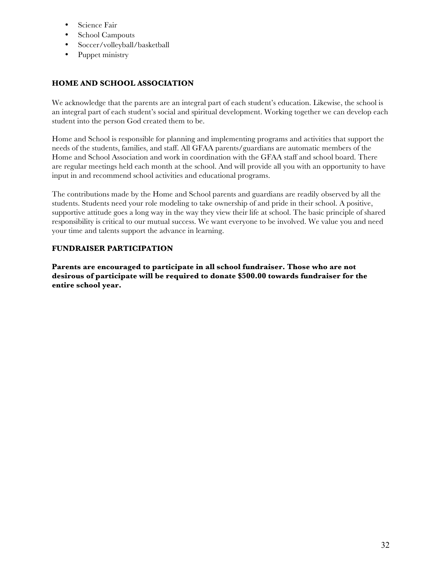- Science Fair
- School Campouts
- Soccer/volleyball/basketball
- Puppet ministry

# **HOME AND SCHOOL ASSOCIATION**

We acknowledge that the parents are an integral part of each student's education. Likewise, the school is an integral part of each student's social and spiritual development. Working together we can develop each student into the person God created them to be.

Home and School is responsible for planning and implementing programs and activities that support the needs of the students, families, and staff. All GFAA parents/guardians are automatic members of the Home and School Association and work in coordination with the GFAA staff and school board. There are regular meetings held each month at the school. And will provide all you with an opportunity to have input in and recommend school activities and educational programs.

The contributions made by the Home and School parents and guardians are readily observed by all the students. Students need your role modeling to take ownership of and pride in their school. A positive, supportive attitude goes a long way in the way they view their life at school. The basic principle of shared responsibility is critical to our mutual success. We want everyone to be involved. We value you and need your time and talents support the advance in learning.

## **FUNDRAISER PARTICIPATION**

**Parents are encouraged to participate in all school fundraiser. Those who are not desirous of participate will be required to donate \$500.00 towards fundraiser for the entire school year.**